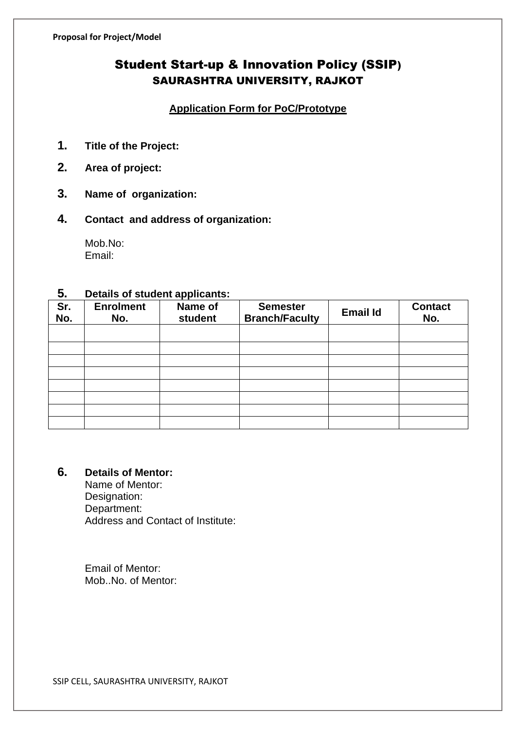# Student Start-up & Innovation Policy (SSIP) SAURASHTRA UNIVERSITY, RAJKOT

### **Application Form for PoC/Prototype**

- **1. Title of the Project:**
- **2. Area of project:**
- **3. Name of organization:**
- **4. Contact and address of organization:**

Mob.No: Email:

### **5. Details of student applicants:**

| --         |                         |                    |                                          |                 |                       |
|------------|-------------------------|--------------------|------------------------------------------|-----------------|-----------------------|
| Sr.<br>No. | <b>Enrolment</b><br>No. | Name of<br>student | <b>Semester</b><br><b>Branch/Faculty</b> | <b>Email Id</b> | <b>Contact</b><br>No. |
|            |                         |                    |                                          |                 |                       |
|            |                         |                    |                                          |                 |                       |
|            |                         |                    |                                          |                 |                       |
|            |                         |                    |                                          |                 |                       |
|            |                         |                    |                                          |                 |                       |
|            |                         |                    |                                          |                 |                       |
|            |                         |                    |                                          |                 |                       |
|            |                         |                    |                                          |                 |                       |

# **6. Details of Mentor:**

Name of Mentor: Designation: Department: Address and Contact of Institute:

 Email of Mentor: Mob..No. of Mentor:

SSIP CELL, SAURASHTRA UNIVERSITY, RAJKOT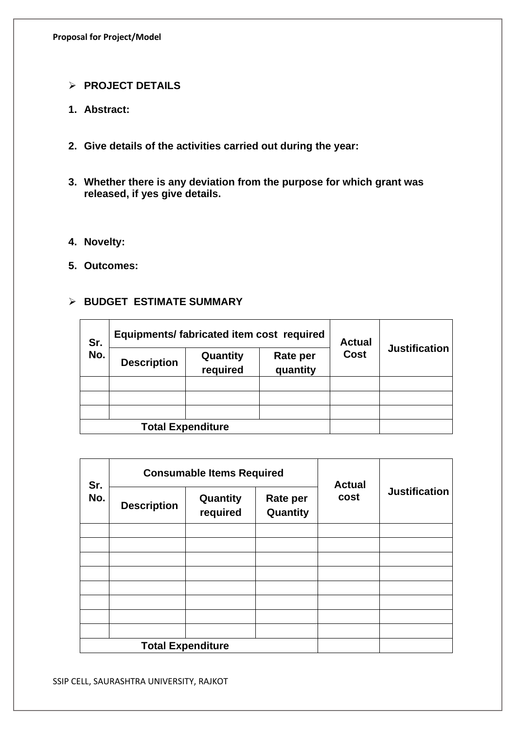#### ➢ **PROJECT DETAILS**

- **1. Abstract:**
- **2. Give details of the activities carried out during the year:**
- **3. Whether there is any deviation from the purpose for which grant was released, if yes give details.**
- **4. Novelty:**
- **5. Outcomes:**

### ➢ **BUDGET ESTIMATE SUMMARY**

| Sr.<br>No.               | Equipments/ fabricated item cost required |                      |                      | <b>Actual</b> |                      |
|--------------------------|-------------------------------------------|----------------------|----------------------|---------------|----------------------|
|                          | <b>Description</b>                        | Quantity<br>required | Rate per<br>quantity | <b>Cost</b>   | <b>Justification</b> |
|                          |                                           |                      |                      |               |                      |
|                          |                                           |                      |                      |               |                      |
|                          |                                           |                      |                      |               |                      |
| <b>Total Expenditure</b> |                                           |                      |                      |               |                      |

| Sr.<br>No. | <b>Consumable Items Required</b> |                      |                             | <b>Actual</b> |                      |
|------------|----------------------------------|----------------------|-----------------------------|---------------|----------------------|
|            | <b>Description</b>               | Quantity<br>required | <b>Rate per</b><br>Quantity | cost          | <b>Justification</b> |
|            |                                  |                      |                             |               |                      |
|            |                                  |                      |                             |               |                      |
|            |                                  |                      |                             |               |                      |
|            |                                  |                      |                             |               |                      |
|            |                                  |                      |                             |               |                      |
|            |                                  |                      |                             |               |                      |
|            |                                  |                      |                             |               |                      |
|            |                                  |                      |                             |               |                      |
|            | <b>Total Expenditure</b>         |                      |                             |               |                      |

SSIP CELL, SAURASHTRA UNIVERSITY, RAJKOT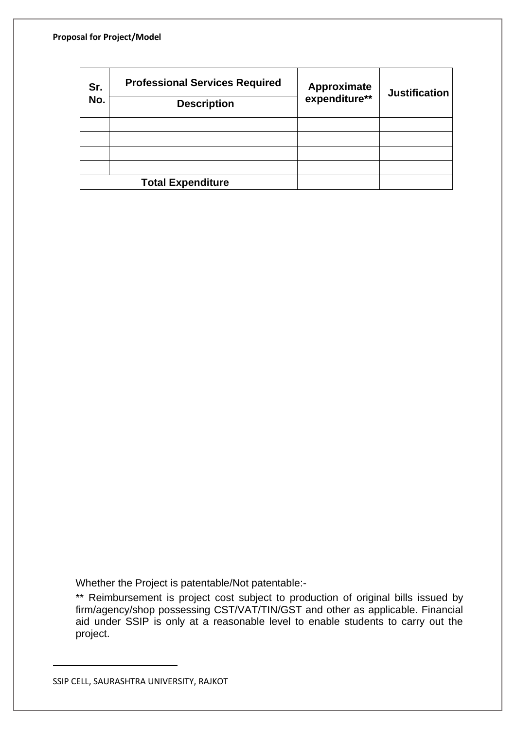| Sr.<br>No. | <b>Professional Services Required</b><br><b>Description</b> | Approximate<br>expenditure** | <b>Justification</b> |
|------------|-------------------------------------------------------------|------------------------------|----------------------|
|            |                                                             |                              |                      |
|            |                                                             |                              |                      |
|            |                                                             |                              |                      |
|            |                                                             |                              |                      |
|            | <b>Total Expenditure</b>                                    |                              |                      |

Whether the Project is patentable/Not patentable:-

\*\* Reimbursement is project cost subject to production of original bills issued by firm/agency/shop possessing CST/VAT/TIN/GST and other as applicable. Financial aid under SSIP is only at a reasonable level to enable students to carry out the project.

SSIP CELL, SAURASHTRA UNIVERSITY, RAJKOT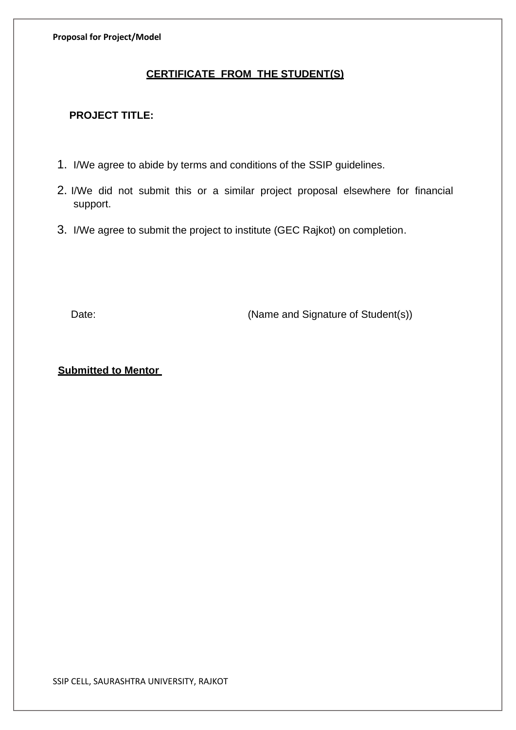**Proposal for Project/Model**

## **CERTIFICATE FROM THE STUDENT(S)**

### **PROJECT TITLE:**

- 1. I/We agree to abide by terms and conditions of the SSIP guidelines.
- 2. I/We did not submit this or a similar project proposal elsewhere for financial support.
- 3. I/We agree to submit the project to institute (GEC Rajkot) on completion.

Date: (Name and Signature of Student(s))

#### **Submitted to Mentor**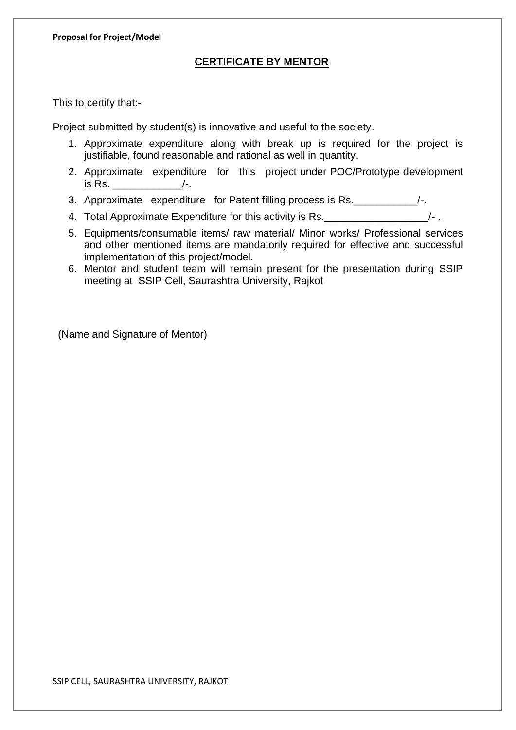#### **CERTIFICATE BY MENTOR**

This to certify that:-

Project submitted by student(s) is innovative and useful to the society.

- 1. Approximate expenditure along with break up is required for the project is justifiable, found reasonable and rational as well in quantity.
- 2. Approximate expenditure for this project under POC/Prototype development is Rs.  $/$ -.
- 3. Approximate expenditure for Patent filling process is Rs.\_\_\_\_\_\_\_\_\_\_\_/-.
- 4. Total Approximate Expenditure for this activity is Rs. \_\_\_\_\_\_\_\_\_\_\_\_\_\_\_\_\_\_\_\_/-.
- 5. Equipments/consumable items/ raw material/ Minor works/ Professional services and other mentioned items are mandatorily required for effective and successful implementation of this project/model.
- 6. Mentor and student team will remain present for the presentation during SSIP meeting at SSIP Cell, Saurashtra University, Rajkot

(Name and Signature of Mentor)